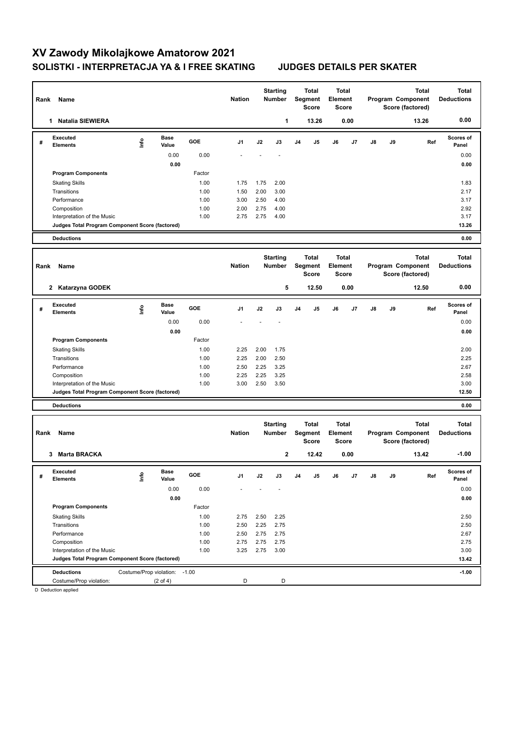# **XV Zawody Mikolajkowe Amatorow 2021 SOLISTKI - INTERPRETACJA YA & I FREE SKATING JUDGES DETAILS PER SKATER**

| Rank | Name                                            |                                |                      |              | <b>Nation</b>  |              | <b>Starting</b><br>Number        |    | Total<br>Segment<br><b>Score</b> | <b>Total</b><br>Element | Score        |    |    | <b>Total</b><br>Program Component<br>Score (factored) | <b>Total</b><br><b>Deductions</b> |
|------|-------------------------------------------------|--------------------------------|----------------------|--------------|----------------|--------------|----------------------------------|----|----------------------------------|-------------------------|--------------|----|----|-------------------------------------------------------|-----------------------------------|
|      | <b>Natalia SIEWIERA</b><br>$\mathbf{1}$         |                                |                      |              |                |              | 1                                |    | 13.26                            |                         | 0.00         |    |    | 13.26                                                 | 0.00                              |
| #    | <b>Executed</b><br>Elements                     | lnfo                           | Base<br>Value        | GOE          | J1             | J2           | J3                               | J4 | J5                               | J6                      | J7           | J8 | J9 | Ref                                                   | Scores of<br>Panel                |
|      |                                                 |                                | 0.00                 | 0.00         |                |              |                                  |    |                                  |                         |              |    |    |                                                       | 0.00                              |
|      |                                                 |                                | 0.00                 |              |                |              |                                  |    |                                  |                         |              |    |    |                                                       | 0.00                              |
|      | <b>Program Components</b>                       |                                |                      | Factor       |                |              |                                  |    |                                  |                         |              |    |    |                                                       |                                   |
|      | <b>Skating Skills</b>                           |                                |                      | 1.00         | 1.75           | 1.75         | 2.00                             |    |                                  |                         |              |    |    |                                                       | 1.83                              |
|      | Transitions                                     |                                |                      | 1.00         | 1.50           | 2.00         | 3.00                             |    |                                  |                         |              |    |    |                                                       | 2.17                              |
|      | Performance                                     |                                |                      | 1.00         | 3.00           | 2.50         | 4.00                             |    |                                  |                         |              |    |    |                                                       | 3.17                              |
|      | Composition<br>Interpretation of the Music      |                                |                      | 1.00<br>1.00 | 2.00<br>2.75   | 2.75<br>2.75 | 4.00<br>4.00                     |    |                                  |                         |              |    |    |                                                       | 2.92<br>3.17                      |
|      | Judges Total Program Component Score (factored) |                                |                      |              |                |              |                                  |    |                                  |                         |              |    |    |                                                       | 13.26                             |
|      | <b>Deductions</b>                               |                                |                      |              |                |              |                                  |    |                                  |                         |              |    |    |                                                       | 0.00                              |
|      |                                                 |                                |                      |              |                |              |                                  |    |                                  |                         |              |    |    |                                                       |                                   |
| Rank | Name                                            |                                |                      |              | <b>Nation</b>  |              | <b>Starting</b><br>Number        |    | Total<br>Segment<br><b>Score</b> | <b>Total</b><br>Element | <b>Score</b> |    |    | <b>Total</b><br>Program Component<br>Score (factored) | <b>Total</b><br><b>Deductions</b> |
|      | 2 Katarzyna GODEK                               |                                |                      |              |                |              | 5                                |    | 12.50                            |                         | 0.00         |    |    | 12.50                                                 | 0.00                              |
| #    | <b>Executed</b><br>Elements                     | ١m                             | Base<br>Value        | GOE          | J <sub>1</sub> | J2           | J3                               | J4 | J5                               | J6                      | J7           | J8 | J9 | Ref                                                   | <b>Scores of</b><br>Panel         |
|      |                                                 |                                | 0.00                 | 0.00         |                |              |                                  |    |                                  |                         |              |    |    |                                                       | 0.00                              |
|      |                                                 |                                | 0.00                 |              |                |              |                                  |    |                                  |                         |              |    |    |                                                       | 0.00                              |
|      | <b>Program Components</b>                       |                                |                      | Factor       |                |              |                                  |    |                                  |                         |              |    |    |                                                       |                                   |
|      | <b>Skating Skills</b>                           |                                |                      | 1.00         | 2.25           | 2.00         | 1.75                             |    |                                  |                         |              |    |    |                                                       | 2.00                              |
|      | Transitions                                     |                                |                      | 1.00         | 2.25           | 2.00         | 2.50                             |    |                                  |                         |              |    |    |                                                       | 2.25                              |
|      | Performance                                     |                                |                      | 1.00         | 2.50           | 2.25         | 3.25                             |    |                                  |                         |              |    |    |                                                       | 2.67                              |
|      | Composition                                     |                                |                      | 1.00         | 2.25           | 2.25         | 3.25                             |    |                                  |                         |              |    |    |                                                       | 2.58                              |
|      | Interpretation of the Music                     |                                |                      | 1.00         | 3.00           | 2.50         | 3.50                             |    |                                  |                         |              |    |    |                                                       | 3.00                              |
|      | Judges Total Program Component Score (factored) |                                |                      |              |                |              |                                  |    |                                  |                         |              |    |    |                                                       | 12.50                             |
|      | <b>Deductions</b>                               |                                |                      |              |                |              |                                  |    |                                  |                         |              |    |    |                                                       | 0.00                              |
| Rank | Name                                            |                                |                      |              | <b>Nation</b>  |              | <b>Starting</b><br><b>Number</b> |    | Total<br>Segment<br><b>Score</b> | <b>Total</b><br>Element | Score        |    |    | <b>Total</b><br>Program Component<br>Score (factored) | <b>Total</b><br><b>Deductions</b> |
|      | 3 Marta BRACKA                                  |                                |                      |              |                |              | 2                                |    | 12.42                            |                         | 0.00         |    |    | 13.42                                                 | $-1.00$                           |
| #    | Executed<br>Elements                            | ١nf٥                           | <b>Base</b><br>Value | GOE          | J1             | J2           | J3                               | J4 | J5                               | J6                      | J7           | J8 | J9 | Ref                                                   | Scores of<br>Panel                |
|      |                                                 |                                | 0.00                 | 0.00         |                |              |                                  |    |                                  |                         |              |    |    |                                                       | 0.00                              |
|      |                                                 |                                | 0.00                 |              |                |              |                                  |    |                                  |                         |              |    |    |                                                       | 0.00                              |
|      | <b>Program Components</b>                       |                                |                      | Factor       |                |              |                                  |    |                                  |                         |              |    |    |                                                       |                                   |
|      | <b>Skating Skills</b>                           |                                |                      | 1.00         | 2.75           | 2.50         | 2.25                             |    |                                  |                         |              |    |    |                                                       | 2.50                              |
|      | Transitions                                     |                                |                      | 1.00         | 2.50           | 2.25         | 2.75                             |    |                                  |                         |              |    |    |                                                       | 2.50                              |
|      | Performance                                     |                                |                      | 1.00         | 2.50           | 2.75         | 2.75                             |    |                                  |                         |              |    |    |                                                       | 2.67                              |
|      | Composition                                     |                                |                      | 1.00         | 2.75           | 2.75         | 2.75                             |    |                                  |                         |              |    |    |                                                       | 2.75                              |
|      | Interpretation of the Music                     |                                |                      | 1.00         | 3.25           | 2.75         | 3.00                             |    |                                  |                         |              |    |    |                                                       | 3.00                              |
|      | Judges Total Program Component Score (factored) |                                |                      |              |                |              |                                  |    |                                  |                         |              |    |    |                                                       | 13.42                             |
|      | <b>Deductions</b>                               | Costume/Prop violation: - 1.00 |                      |              |                |              |                                  |    |                                  |                         |              |    |    |                                                       | $-1.00$                           |
|      | Costume/Prop violation:<br>D. Doduction applies |                                | $(2 \text{ of } 4)$  |              | D              |              | D                                |    |                                  |                         |              |    |    |                                                       |                                   |

D Deduction applied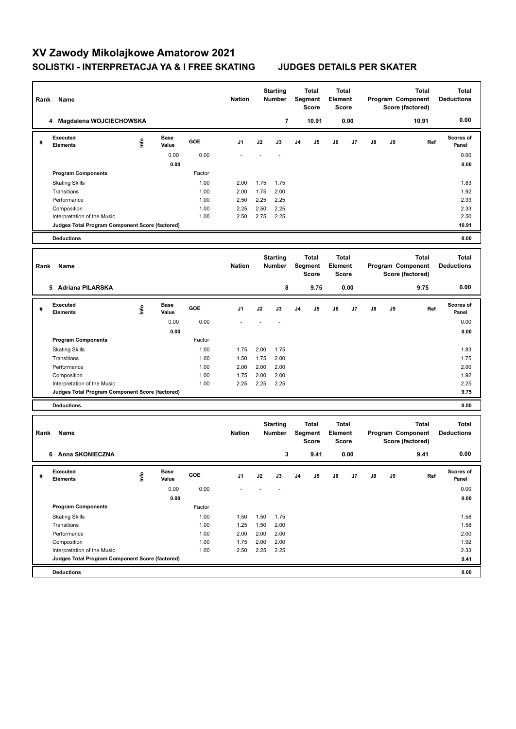# **XV Zawody Mikolajkowe Amatorow 2021 SOLISTKI - INTERPRETACJA YA & I FREE SKATING JUDGES DETAILS PER SKATER**

| Name<br>Rank              |                                                                                |      | <b>Nation</b> |              | <b>Starting</b><br>Number<br>Segment |              | <b>Total</b><br><b>Score</b>     | <b>Total</b><br>Element<br><b>Score</b> |                                  | Program Component<br>Score (factored) |                              | <b>Total</b> | Total<br><b>Deductions</b> |                                                       |                                   |
|---------------------------|--------------------------------------------------------------------------------|------|---------------|--------------|--------------------------------------|--------------|----------------------------------|-----------------------------------------|----------------------------------|---------------------------------------|------------------------------|--------------|----------------------------|-------------------------------------------------------|-----------------------------------|
| 4 Magdalena WOJCIECHOWSKA |                                                                                |      |               |              |                                      |              | 7                                |                                         | 10.91                            |                                       | 0.00                         |              |                            | 10.91                                                 | 0.00                              |
| #                         | Executed<br><b>Elements</b>                                                    | Info | Base<br>Value | GOE          | J1                                   | J2           | J3                               | J4                                      | J5                               | J6                                    | J7                           | J8           | J9                         | Ref                                                   | <b>Scores of</b><br>Panel         |
|                           |                                                                                |      | 0.00          | 0.00         |                                      |              |                                  |                                         |                                  |                                       |                              |              |                            |                                                       | 0.00                              |
|                           |                                                                                |      | 0.00          |              |                                      |              |                                  |                                         |                                  |                                       |                              |              |                            |                                                       | 0.00                              |
|                           | <b>Program Components</b>                                                      |      |               | Factor       |                                      |              |                                  |                                         |                                  |                                       |                              |              |                            |                                                       |                                   |
|                           | <b>Skating Skills</b>                                                          |      |               | 1.00         | 2.00                                 | 1.75         | 1.75                             |                                         |                                  |                                       |                              |              |                            |                                                       | 1.83                              |
|                           | Transitions<br>Performance                                                     |      |               | 1.00<br>1.00 | 2.00<br>2.50                         | 1.75<br>2.25 | 2.00<br>2.25                     |                                         |                                  |                                       |                              |              |                            |                                                       | 1.92<br>2.33                      |
|                           | Composition                                                                    |      |               | 1.00         | 2.25                                 | 2.50         | 2.25                             |                                         |                                  |                                       |                              |              |                            |                                                       | 2.33                              |
|                           | Interpretation of the Music                                                    |      |               | 1.00         | 2.50                                 | 2.75         | 2.25                             |                                         |                                  |                                       |                              |              |                            |                                                       | 2.50                              |
|                           | Judges Total Program Component Score (factored)                                |      |               |              |                                      |              |                                  |                                         |                                  |                                       |                              |              |                            |                                                       | 10.91                             |
|                           | <b>Deductions</b>                                                              |      |               |              |                                      |              |                                  |                                         |                                  |                                       |                              |              |                            |                                                       | 0.00                              |
|                           |                                                                                |      |               |              |                                      |              |                                  |                                         |                                  |                                       |                              |              |                            |                                                       |                                   |
|                           |                                                                                |      |               |              |                                      |              | <b>Starting</b>                  |                                         | <b>Total</b>                     |                                       | Total                        |              |                            | <b>Total</b>                                          | <b>Total</b>                      |
| Rank                      | Name                                                                           |      |               |              | <b>Nation</b>                        |              | Number                           |                                         | Segment<br><b>Score</b>          | Element                               | <b>Score</b>                 |              |                            | Program Component<br>Score (factored)                 | <b>Deductions</b>                 |
|                           |                                                                                |      |               |              |                                      |              |                                  |                                         |                                  |                                       |                              |              |                            |                                                       |                                   |
|                           | 5 Adriana PILARSKA                                                             |      |               |              |                                      |              | 8                                |                                         | 9.75                             |                                       | 0.00                         |              |                            | 9.75                                                  | 0.00                              |
| #                         | Executed<br><b>Elements</b>                                                    | ١m   | Base<br>Value | GOE          | J1                                   | J2           | J3                               | J4                                      | J5                               | J6                                    | J7                           | J8           | J9                         | Ref                                                   | Scores of<br>Panel                |
|                           |                                                                                |      | 0.00          | 0.00         |                                      |              |                                  |                                         |                                  |                                       |                              |              |                            |                                                       | 0.00                              |
|                           |                                                                                |      | 0.00          |              |                                      |              |                                  |                                         |                                  |                                       |                              |              |                            |                                                       | 0.00                              |
|                           | <b>Program Components</b>                                                      |      |               | Factor       |                                      |              |                                  |                                         |                                  |                                       |                              |              |                            |                                                       |                                   |
|                           | <b>Skating Skills</b>                                                          |      |               | 1.00         | 1.75                                 | 2.00         | 1.75                             |                                         |                                  |                                       |                              |              |                            |                                                       | 1.83                              |
|                           | Transitions                                                                    |      |               | 1.00         | 1.50                                 | 1.75         | 2.00                             |                                         |                                  |                                       |                              |              |                            |                                                       | 1.75                              |
|                           | Performance                                                                    |      |               | 1.00         | 2.00                                 | 2.00         | 2.00                             |                                         |                                  |                                       |                              |              |                            |                                                       | 2.00                              |
|                           | Composition                                                                    |      |               | 1.00         | 1.75                                 | 2.00         | 2.00                             |                                         |                                  |                                       |                              |              |                            |                                                       | 1.92                              |
|                           | Interpretation of the Music<br>Judges Total Program Component Score (factored) |      |               | 1.00         | 2.25                                 | 2.25         | 2.25                             |                                         |                                  |                                       |                              |              |                            |                                                       | 2.25<br>9.75                      |
|                           | <b>Deductions</b>                                                              |      |               |              |                                      |              |                                  |                                         |                                  |                                       |                              |              |                            |                                                       | 0.00                              |
|                           |                                                                                |      |               |              |                                      |              |                                  |                                         |                                  |                                       |                              |              |                            |                                                       |                                   |
| Rank                      | Name                                                                           |      |               |              | <b>Nation</b>                        |              | <b>Starting</b><br><b>Number</b> |                                         | <b>Total</b><br>Segment<br>Score | Element                               | <b>Total</b><br><b>Score</b> |              |                            | <b>Total</b><br>Program Component<br>Score (factored) | <b>Total</b><br><b>Deductions</b> |
|                           | 6 Anna SKONIECZNA                                                              |      |               |              |                                      |              | 3                                |                                         | 9.41                             |                                       | 0.00                         |              |                            | 9.41                                                  | 0.00                              |
|                           | Executed                                                                       |      | <b>Base</b>   | GOE          |                                      |              |                                  |                                         |                                  |                                       |                              |              |                            |                                                       | Scores of                         |
| #                         | <b>Elements</b>                                                                | ۴d   | Value         |              | J1                                   | J2           | J3                               | J4                                      | J5                               | J6                                    | J7                           | J8           | J9                         | Ref                                                   | Panel                             |
|                           |                                                                                |      | 0.00          | 0.00         |                                      |              |                                  |                                         |                                  |                                       |                              |              |                            |                                                       | 0.00                              |
|                           |                                                                                |      | 0.00          |              |                                      |              |                                  |                                         |                                  |                                       |                              |              |                            |                                                       | 0.00                              |
|                           | <b>Program Components</b>                                                      |      |               | Factor       |                                      |              |                                  |                                         |                                  |                                       |                              |              |                            |                                                       |                                   |
|                           | <b>Skating Skills</b>                                                          |      |               | 1.00         | 1.50                                 | 1.50         | 1.75                             |                                         |                                  |                                       |                              |              |                            |                                                       | 1.58                              |
|                           | Transitions                                                                    |      |               | 1.00         | 1.25                                 | 1.50         | 2.00                             |                                         |                                  |                                       |                              |              |                            |                                                       | 1.58                              |
|                           | Performance<br>Composition                                                     |      |               | 1.00<br>1.00 | 2.00<br>1.75                         | 2.00<br>2.00 | 2.00<br>2.00                     |                                         |                                  |                                       |                              |              |                            |                                                       | 2.00<br>1.92                      |
|                           | Interpretation of the Music                                                    |      |               | 1.00         | 2.50                                 | 2.25         | 2.25                             |                                         |                                  |                                       |                              |              |                            |                                                       | 2.33                              |
|                           | Judges Total Program Component Score (factored)                                |      |               |              |                                      |              |                                  |                                         |                                  |                                       |                              |              |                            |                                                       | 9.41                              |
|                           | <b>Deductions</b>                                                              |      |               |              |                                      |              |                                  |                                         |                                  |                                       |                              |              |                            |                                                       | 0.00                              |
|                           |                                                                                |      |               |              |                                      |              |                                  |                                         |                                  |                                       |                              |              |                            |                                                       |                                   |